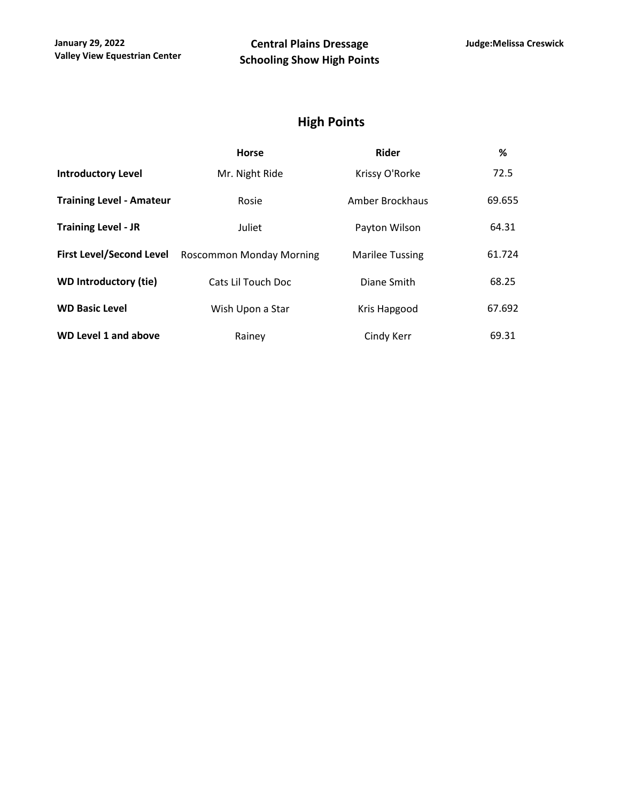# **High Points**

|                                 | <b>Horse</b>             | <b>Rider</b>           | %      |
|---------------------------------|--------------------------|------------------------|--------|
| <b>Introductory Level</b>       | Mr. Night Ride           | Krissy O'Rorke         | 72.5   |
| <b>Training Level - Amateur</b> | Rosie                    | Amber Brockhaus        | 69.655 |
| <b>Training Level - JR</b>      | Juliet                   | Payton Wilson          | 64.31  |
| <b>First Level/Second Level</b> | Roscommon Monday Morning | <b>Marilee Tussing</b> | 61.724 |
| <b>WD Introductory (tie)</b>    | Cats Lil Touch Doc       | Diane Smith            | 68.25  |
| <b>WD Basic Level</b>           | Wish Upon a Star         | Kris Hapgood           | 67.692 |
| <b>WD Level 1 and above</b>     | Rainey                   | Cindy Kerr             | 69.31  |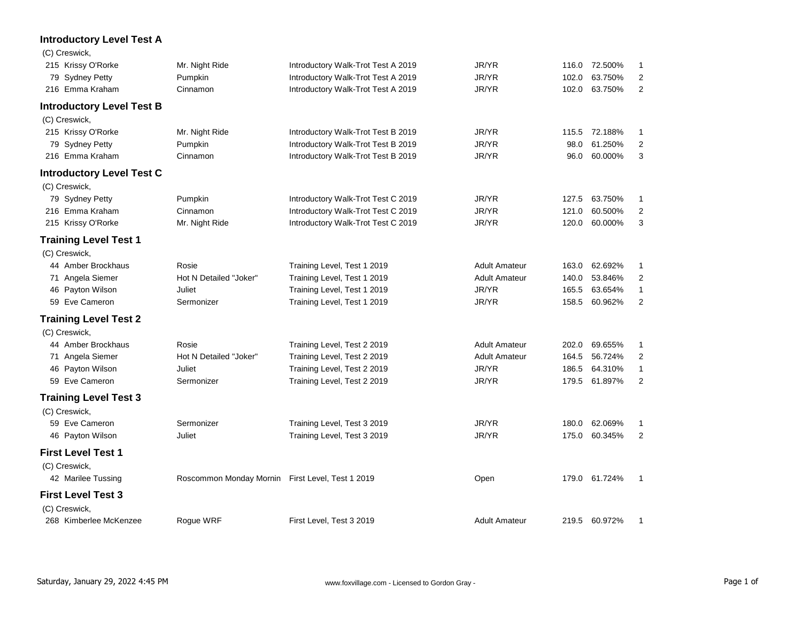| <b>Introductory Level Test A</b> |                                                  |                                    |                      |       |               |                |
|----------------------------------|--------------------------------------------------|------------------------------------|----------------------|-------|---------------|----------------|
| (C) Creswick,                    |                                                  |                                    |                      |       |               |                |
| 215 Krissy O'Rorke               | Mr. Night Ride                                   | Introductory Walk-Trot Test A 2019 | JR/YR                |       | 116.0 72.500% | 1              |
| 79 Sydney Petty                  | Pumpkin                                          | Introductory Walk-Trot Test A 2019 | JR/YR                | 102.0 | 63.750%       | 2              |
| 216 Emma Kraham                  | Cinnamon                                         | Introductory Walk-Trot Test A 2019 | JR/YR                | 102.0 | 63.750%       | $\overline{2}$ |
| <b>Introductory Level Test B</b> |                                                  |                                    |                      |       |               |                |
| (C) Creswick,                    |                                                  |                                    |                      |       |               |                |
| 215 Krissy O'Rorke               | Mr. Night Ride                                   | Introductory Walk-Trot Test B 2019 | JR/YR                | 115.5 | 72.188%       | $\mathbf{1}$   |
| 79 Sydney Petty                  | Pumpkin                                          | Introductory Walk-Trot Test B 2019 | JR/YR                | 98.0  | 61.250%       | $\overline{2}$ |
| 216 Emma Kraham                  | Cinnamon                                         | Introductory Walk-Trot Test B 2019 | JR/YR                | 96.0  | 60.000%       | 3              |
| <b>Introductory Level Test C</b> |                                                  |                                    |                      |       |               |                |
| (C) Creswick,                    |                                                  |                                    |                      |       |               |                |
| 79 Sydney Petty                  | Pumpkin                                          | Introductory Walk-Trot Test C 2019 | JR/YR                | 127.5 | 63.750%       | 1              |
| 216 Emma Kraham                  | Cinnamon                                         | Introductory Walk-Trot Test C 2019 | JR/YR                | 121.0 | 60.500%       | $\overline{2}$ |
| 215 Krissy O'Rorke               | Mr. Night Ride                                   | Introductory Walk-Trot Test C 2019 | JR/YR                | 120.0 | 60.000%       | 3              |
| <b>Training Level Test 1</b>     |                                                  |                                    |                      |       |               |                |
| (C) Creswick,                    |                                                  |                                    |                      |       |               |                |
| 44 Amber Brockhaus               | Rosie                                            | Training Level, Test 1 2019        | <b>Adult Amateur</b> | 163.0 | 62.692%       | 1              |
| 71 Angela Siemer                 | Hot N Detailed "Joker"                           | Training Level, Test 1 2019        | <b>Adult Amateur</b> | 140.0 | 53.846%       | 2              |
| 46 Payton Wilson                 | Juliet                                           | Training Level, Test 1 2019        | JR/YR                | 165.5 | 63.654%       | $\mathbf{1}$   |
| 59 Eve Cameron                   | Sermonizer                                       | Training Level, Test 1 2019        | JR/YR                | 158.5 | 60.962%       | $\overline{2}$ |
| <b>Training Level Test 2</b>     |                                                  |                                    |                      |       |               |                |
| (C) Creswick,                    |                                                  |                                    |                      |       |               |                |
| 44 Amber Brockhaus               | Rosie                                            | Training Level, Test 2 2019        | <b>Adult Amateur</b> | 202.0 | 69.655%       | 1              |
| 71 Angela Siemer                 | Hot N Detailed "Joker"                           | Training Level, Test 2 2019        | <b>Adult Amateur</b> | 164.5 | 56.724%       | 2              |
| 46 Payton Wilson                 | Juliet                                           | Training Level, Test 2 2019        | JR/YR                | 186.5 | 64.310%       | $\mathbf{1}$   |
| 59 Eve Cameron                   | Sermonizer                                       | Training Level, Test 2 2019        | JR/YR                | 179.5 | 61.897%       | $\overline{2}$ |
| <b>Training Level Test 3</b>     |                                                  |                                    |                      |       |               |                |
| (C) Creswick,                    |                                                  |                                    |                      |       |               |                |
| 59 Eve Cameron                   | Sermonizer                                       | Training Level, Test 3 2019        | JR/YR                | 180.0 | 62.069%       | 1              |
| 46 Payton Wilson                 | Juliet                                           | Training Level, Test 3 2019        | JR/YR                | 175.0 | 60.345%       | $\overline{2}$ |
| <b>First Level Test 1</b>        |                                                  |                                    |                      |       |               |                |
| (C) Creswick,                    |                                                  |                                    |                      |       |               |                |
| 42 Marilee Tussing               | Roscommon Monday Mornin First Level, Test 1 2019 |                                    | Open                 | 179.0 | 61.724%       | $\mathbf 1$    |
| <b>First Level Test 3</b>        |                                                  |                                    |                      |       |               |                |
| (C) Creswick,                    |                                                  |                                    |                      |       |               |                |
| 268 Kimberlee McKenzee           | Roque WRF                                        | First Level, Test 3 2019           | <b>Adult Amateur</b> |       | 219.5 60.972% |                |

#### Saturday, January 29, 2022 4:45 PM Page 1 of www.foxvillage.com - Licensed to Gordon Gray -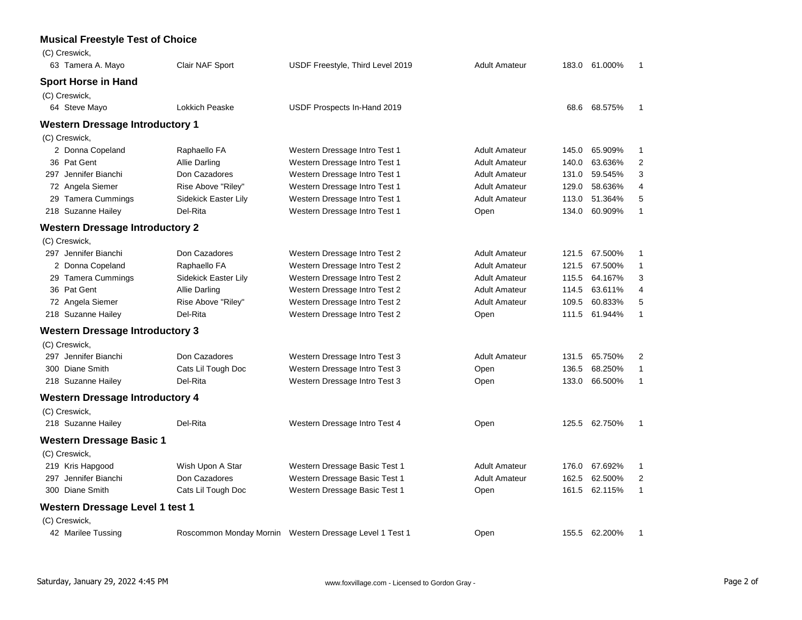#### **Musical Freestyle Test of Choice**

| (C) Creswick,                          |                      |                                                         |                      |       |               |                |
|----------------------------------------|----------------------|---------------------------------------------------------|----------------------|-------|---------------|----------------|
| 63 Tamera A. Mayo                      | Clair NAF Sport      | USDF Freestyle, Third Level 2019                        | <b>Adult Amateur</b> | 183.0 | 61.000%       | $\mathbf{1}$   |
| <b>Sport Horse in Hand</b>             |                      |                                                         |                      |       |               |                |
| (C) Creswick,                          |                      |                                                         |                      |       |               |                |
| 64 Steve Mayo                          | Lokkich Peaske       | USDF Prospects In-Hand 2019                             |                      |       | 68.6 68.575%  | $\mathbf{1}$   |
| <b>Western Dressage Introductory 1</b> |                      |                                                         |                      |       |               |                |
| (C) Creswick,                          |                      |                                                         |                      |       |               |                |
| 2 Donna Copeland                       | Raphaello FA         | Western Dressage Intro Test 1                           | <b>Adult Amateur</b> | 145.0 | 65.909%       | $\mathbf 1$    |
| 36 Pat Gent                            | <b>Allie Darling</b> | Western Dressage Intro Test 1                           | <b>Adult Amateur</b> | 140.0 | 63.636%       | $\overline{2}$ |
| 297 Jennifer Bianchi                   | Don Cazadores        | Western Dressage Intro Test 1                           | <b>Adult Amateur</b> | 131.0 | 59.545%       | 3              |
| 72 Angela Siemer                       | Rise Above "Riley"   | Western Dressage Intro Test 1                           | <b>Adult Amateur</b> | 129.0 | 58.636%       | 4              |
| 29 Tamera Cummings                     | Sidekick Easter Lily | Western Dressage Intro Test 1                           | <b>Adult Amateur</b> | 113.0 | 51.364%       | 5              |
| 218 Suzanne Hailey                     | Del-Rita             | Western Dressage Intro Test 1                           | Open                 | 134.0 | 60.909%       | $\mathbf{1}$   |
| <b>Western Dressage Introductory 2</b> |                      |                                                         |                      |       |               |                |
| (C) Creswick,                          |                      |                                                         |                      |       |               |                |
| 297 Jennifer Bianchi                   | Don Cazadores        | Western Dressage Intro Test 2                           | <b>Adult Amateur</b> | 121.5 | 67.500%       | $\mathbf{1}$   |
| 2 Donna Copeland                       | Raphaello FA         | Western Dressage Intro Test 2                           | <b>Adult Amateur</b> | 121.5 | 67.500%       | $\mathbf{1}$   |
| 29 Tamera Cummings                     | Sidekick Easter Lily | Western Dressage Intro Test 2                           | <b>Adult Amateur</b> | 115.5 | 64.167%       | 3              |
| 36 Pat Gent                            | <b>Allie Darling</b> | Western Dressage Intro Test 2                           | <b>Adult Amateur</b> | 114.5 | 63.611%       | 4              |
| 72 Angela Siemer                       | Rise Above "Riley"   | Western Dressage Intro Test 2                           | <b>Adult Amateur</b> | 109.5 | 60.833%       | 5              |
| 218 Suzanne Hailey                     | Del-Rita             | Western Dressage Intro Test 2                           | Open                 | 111.5 | 61.944%       | $\mathbf{1}$   |
| <b>Western Dressage Introductory 3</b> |                      |                                                         |                      |       |               |                |
| (C) Creswick,                          |                      |                                                         |                      |       |               |                |
| 297 Jennifer Bianchi                   | Don Cazadores        | Western Dressage Intro Test 3                           | <b>Adult Amateur</b> | 131.5 | 65.750%       | 2              |
| 300 Diane Smith                        | Cats Lil Tough Doc   | Western Dressage Intro Test 3                           | Open                 | 136.5 | 68.250%       | $\mathbf{1}$   |
| 218 Suzanne Hailey                     | Del-Rita             | Western Dressage Intro Test 3                           | Open                 | 133.0 | 66.500%       | $\mathbf{1}$   |
| <b>Western Dressage Introductory 4</b> |                      |                                                         |                      |       |               |                |
| (C) Creswick,                          |                      |                                                         |                      |       |               |                |
| 218 Suzanne Hailey                     | Del-Rita             | Western Dressage Intro Test 4                           | Open                 |       | 125.5 62.750% | $\mathbf{1}$   |
| <b>Western Dressage Basic 1</b>        |                      |                                                         |                      |       |               |                |
| (C) Creswick,                          |                      |                                                         |                      |       |               |                |
| 219 Kris Hapgood                       | Wish Upon A Star     | Western Dressage Basic Test 1                           | <b>Adult Amateur</b> | 176.0 | 67.692%       | $\mathbf{1}$   |
| 297 Jennifer Bianchi                   | Don Cazadores        | Western Dressage Basic Test 1                           | <b>Adult Amateur</b> | 162.5 | 62.500%       | $\overline{2}$ |
| 300 Diane Smith                        | Cats Lil Tough Doc   | Western Dressage Basic Test 1                           | Open                 | 161.5 | 62.115%       | $\mathbf{1}$   |
| Western Dressage Level 1 test 1        |                      |                                                         |                      |       |               |                |
| (C) Creswick,                          |                      |                                                         |                      |       |               |                |
| 42 Marilee Tussing                     |                      | Roscommon Monday Mornin Western Dressage Level 1 Test 1 | Open                 |       | 155.5 62.200% | $\mathbf{1}$   |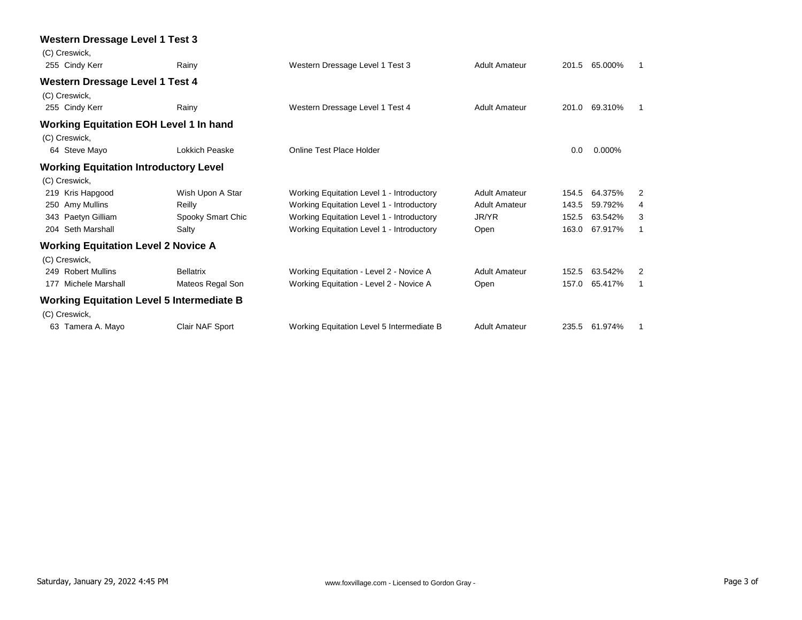| Rainy                                                                                                                                                                                                                                                                                                        | Western Dressage Level 1 Test 3                                                                                                                                                                                                                                                     | <b>Adult Amateur</b> |       | 65.000% | -1                                 |
|--------------------------------------------------------------------------------------------------------------------------------------------------------------------------------------------------------------------------------------------------------------------------------------------------------------|-------------------------------------------------------------------------------------------------------------------------------------------------------------------------------------------------------------------------------------------------------------------------------------|----------------------|-------|---------|------------------------------------|
|                                                                                                                                                                                                                                                                                                              |                                                                                                                                                                                                                                                                                     |                      |       |         |                                    |
|                                                                                                                                                                                                                                                                                                              |                                                                                                                                                                                                                                                                                     |                      |       |         |                                    |
| Rainy                                                                                                                                                                                                                                                                                                        | Western Dressage Level 1 Test 4                                                                                                                                                                                                                                                     | <b>Adult Amateur</b> |       | 69.310% |                                    |
|                                                                                                                                                                                                                                                                                                              |                                                                                                                                                                                                                                                                                     |                      |       |         |                                    |
|                                                                                                                                                                                                                                                                                                              |                                                                                                                                                                                                                                                                                     |                      |       |         |                                    |
| Lokkich Peaske                                                                                                                                                                                                                                                                                               | <b>Online Test Place Holder</b>                                                                                                                                                                                                                                                     |                      | 0.0   | 0.000%  |                                    |
|                                                                                                                                                                                                                                                                                                              |                                                                                                                                                                                                                                                                                     |                      |       |         |                                    |
|                                                                                                                                                                                                                                                                                                              |                                                                                                                                                                                                                                                                                     |                      |       |         |                                    |
| Wish Upon A Star                                                                                                                                                                                                                                                                                             | Working Equitation Level 1 - Introductory                                                                                                                                                                                                                                           | <b>Adult Amateur</b> | 154.5 | 64.375% | 2                                  |
| Reilly                                                                                                                                                                                                                                                                                                       | Working Equitation Level 1 - Introductory                                                                                                                                                                                                                                           | <b>Adult Amateur</b> | 143.5 | 59.792% | 4                                  |
| Spooky Smart Chic                                                                                                                                                                                                                                                                                            | Working Equitation Level 1 - Introductory                                                                                                                                                                                                                                           | JR/YR                | 152.5 | 63.542% | 3                                  |
| Salty                                                                                                                                                                                                                                                                                                        | Working Equitation Level 1 - Introductory                                                                                                                                                                                                                                           | Open                 | 163.0 | 67.917% | $\mathbf 1$                        |
|                                                                                                                                                                                                                                                                                                              |                                                                                                                                                                                                                                                                                     |                      |       |         |                                    |
|                                                                                                                                                                                                                                                                                                              |                                                                                                                                                                                                                                                                                     |                      |       |         |                                    |
| <b>Bellatrix</b>                                                                                                                                                                                                                                                                                             | Working Equitation - Level 2 - Novice A                                                                                                                                                                                                                                             | <b>Adult Amateur</b> | 152.5 | 63.542% | 2                                  |
| Mateos Regal Son                                                                                                                                                                                                                                                                                             | Working Equitation - Level 2 - Novice A                                                                                                                                                                                                                                             | Open                 | 157.0 | 65.417% | -1                                 |
|                                                                                                                                                                                                                                                                                                              |                                                                                                                                                                                                                                                                                     |                      |       |         |                                    |
|                                                                                                                                                                                                                                                                                                              |                                                                                                                                                                                                                                                                                     |                      |       |         |                                    |
| Clair NAF Sport                                                                                                                                                                                                                                                                                              | Working Equitation Level 5 Intermediate B                                                                                                                                                                                                                                           | <b>Adult Amateur</b> |       |         | -1                                 |
| (C) Creswick,<br>255 Cindy Kerr<br>(C) Creswick,<br>255 Cindy Kerr<br>(C) Creswick,<br>64 Steve Mayo<br>(C) Creswick,<br>219 Kris Hapgood<br>250 Amy Mullins<br>343 Paetyn Gilliam<br>204 Seth Marshall<br>(C) Creswick,<br>249 Robert Mullins<br>177 Michele Marshall<br>(C) Creswick,<br>63 Tamera A. Mayo | <b>Western Dressage Level 1 Test 3</b><br><b>Western Dressage Level 1 Test 4</b><br><b>Working Equitation EOH Level 1 In hand</b><br><b>Working Equitation Introductory Level</b><br><b>Working Equitation Level 2 Novice A</b><br><b>Working Equitation Level 5 Intermediate B</b> |                      |       |         | 201.5<br>201.0<br>235.5<br>61.974% |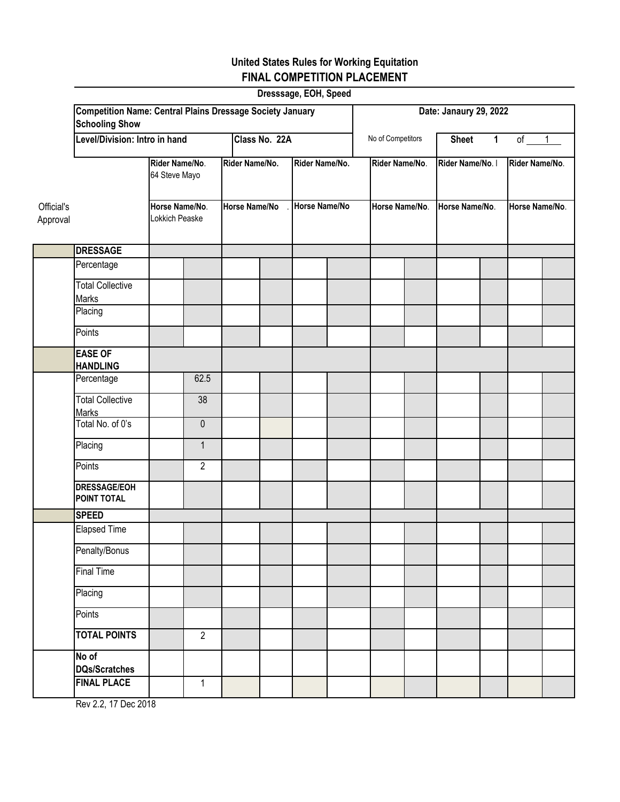|                        |                                                                                           |                                 |                |                      |  | Dresssage, EOH, Speed |  |                |                        |                  |              |                |  |  |  |
|------------------------|-------------------------------------------------------------------------------------------|---------------------------------|----------------|----------------------|--|-----------------------|--|----------------|------------------------|------------------|--------------|----------------|--|--|--|
|                        | <b>Competition Name: Central Plains Dressage Society January</b><br><b>Schooling Show</b> |                                 |                |                      |  |                       |  |                | Date: Janaury 29, 2022 |                  |              |                |  |  |  |
|                        | Level/Division: Intro in hand                                                             |                                 |                |                      |  | Class No. 22A         |  |                |                        | <b>Sheet</b>     | $\mathbf{1}$ | of $1$         |  |  |  |
|                        |                                                                                           | Rider Name/No.<br>64 Steve Mayo |                | Rider Name/No.       |  | Rider Name/No.        |  | Rider Name/No. |                        | Rider Name/No. I |              | Rider Name/No. |  |  |  |
| Official's<br>Approval | Horse Name/No.<br>Lokkich Peaske                                                          |                                 |                | <b>Horse Name/No</b> |  | Horse Name/No         |  | Horse Name/No. |                        | Horse Name/No.   |              | Horse Name/No. |  |  |  |
|                        | <b>DRESSAGE</b>                                                                           |                                 |                |                      |  |                       |  |                |                        |                  |              |                |  |  |  |
|                        | Percentage                                                                                |                                 |                |                      |  |                       |  |                |                        |                  |              |                |  |  |  |
|                        | <b>Total Collective</b><br>Marks                                                          |                                 |                |                      |  |                       |  |                |                        |                  |              |                |  |  |  |
|                        | Placing                                                                                   |                                 |                |                      |  |                       |  |                |                        |                  |              |                |  |  |  |
|                        | Points                                                                                    |                                 |                |                      |  |                       |  |                |                        |                  |              |                |  |  |  |
|                        | <b>EASE OF</b><br><b>HANDLING</b>                                                         |                                 |                |                      |  |                       |  |                |                        |                  |              |                |  |  |  |
|                        | Percentage                                                                                |                                 | 62.5           |                      |  |                       |  |                |                        |                  |              |                |  |  |  |
|                        | <b>Total Collective</b><br><b>Marks</b>                                                   |                                 | 38             |                      |  |                       |  |                |                        |                  |              |                |  |  |  |
|                        | Total No. of 0's                                                                          |                                 | $\mathbf 0$    |                      |  |                       |  |                |                        |                  |              |                |  |  |  |
|                        | Placing                                                                                   |                                 | $\mathbf{1}$   |                      |  |                       |  |                |                        |                  |              |                |  |  |  |
|                        | Points                                                                                    |                                 | $\overline{2}$ |                      |  |                       |  |                |                        |                  |              |                |  |  |  |
|                        | <b>DRESSAGE/EOH</b><br>POINT TOTAL                                                        |                                 |                |                      |  |                       |  |                |                        |                  |              |                |  |  |  |
|                        | <b>SPEED</b>                                                                              |                                 |                |                      |  |                       |  |                |                        |                  |              |                |  |  |  |
|                        | <b>Elapsed Time</b>                                                                       |                                 |                |                      |  |                       |  |                |                        |                  |              |                |  |  |  |
|                        | Penalty/Bonus                                                                             |                                 |                |                      |  |                       |  |                |                        |                  |              |                |  |  |  |
|                        | <b>Final Time</b>                                                                         |                                 |                |                      |  |                       |  |                |                        |                  |              |                |  |  |  |
|                        | Placing                                                                                   |                                 |                |                      |  |                       |  |                |                        |                  |              |                |  |  |  |
|                        | Points                                                                                    |                                 |                |                      |  |                       |  |                |                        |                  |              |                |  |  |  |
|                        | <b>TOTAL POINTS</b>                                                                       |                                 | $\overline{2}$ |                      |  |                       |  |                |                        |                  |              |                |  |  |  |
|                        | No of<br><b>DQs/Scratches</b>                                                             |                                 |                |                      |  |                       |  |                |                        |                  |              |                |  |  |  |
|                        | <b>FINAL PLACE</b>                                                                        |                                 | $\mathbf{1}$   |                      |  |                       |  |                |                        |                  |              |                |  |  |  |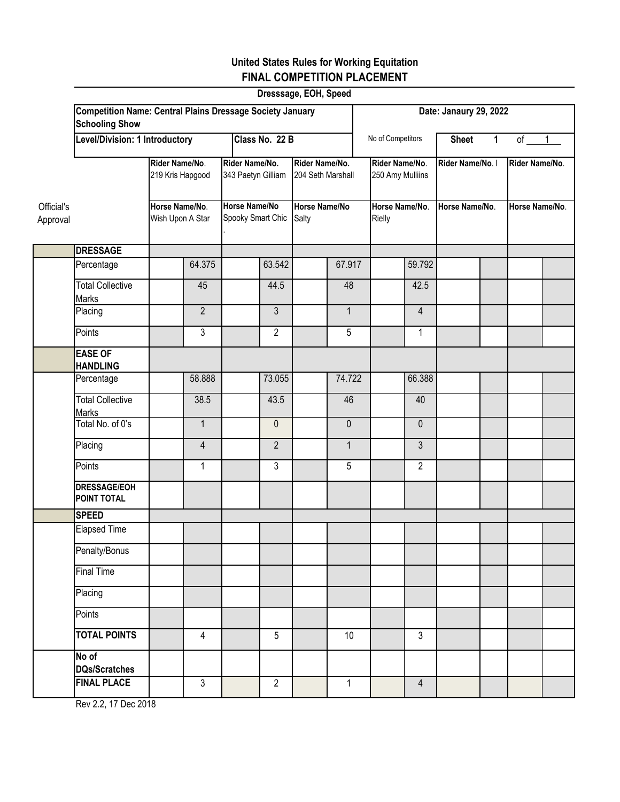| Dresssage, EOH, Speed  |                                                                                           |                                                                          |                |  |                                                                                   |                        |                                     |                                    |                          |                  |                |                |                |
|------------------------|-------------------------------------------------------------------------------------------|--------------------------------------------------------------------------|----------------|--|-----------------------------------------------------------------------------------|------------------------|-------------------------------------|------------------------------------|--------------------------|------------------|----------------|----------------|----------------|
|                        | <b>Competition Name: Central Plains Dressage Society January</b><br><b>Schooling Show</b> |                                                                          |                |  |                                                                                   | Date: Janaury 29, 2022 |                                     |                                    |                          |                  |                |                |                |
|                        | Level/Division: 1 Introductory                                                            |                                                                          |                |  |                                                                                   | Class No. 22 B         |                                     | No of Competitors                  |                          | <b>Sheet</b>     | $\mathbf{1}$   | $of$ $1$       |                |
|                        |                                                                                           | Rider Name/No.<br>219 Kris Hapgood<br>Horse Name/No.<br>Wish Upon A Star |                |  | Rider Name/No.<br>343 Paetyn Gilliam<br><b>Horse Name/No</b><br>Spooky Smart Chic |                        | Rider Name/No.<br>204 Seth Marshall | Rider Name/No.<br>250 Amy Mulliins |                          | Rider Name/No. I |                | Rider Name/No. |                |
| Official's<br>Approval |                                                                                           |                                                                          |                |  |                                                                                   |                        | <b>Horse Name/No</b><br>Salty       |                                    | Horse Name/No.<br>Rielly |                  | Horse Name/No. |                | Horse Name/No. |
|                        | <b>DRESSAGE</b>                                                                           |                                                                          |                |  |                                                                                   |                        |                                     |                                    |                          |                  |                |                |                |
|                        | Percentage                                                                                |                                                                          | 64.375         |  | 63.542                                                                            |                        | 67.917                              |                                    | 59.792                   |                  |                |                |                |
|                        | <b>Total Collective</b><br>Marks                                                          |                                                                          | 45             |  | 44.5                                                                              |                        | 48                                  |                                    | 42.5                     |                  |                |                |                |
|                        | Placing                                                                                   |                                                                          | $\overline{2}$ |  | 3                                                                                 |                        | $\mathbf{1}$                        |                                    | 4                        |                  |                |                |                |
|                        | Points                                                                                    |                                                                          | $\overline{3}$ |  | $\overline{2}$                                                                    |                        | 5                                   |                                    | $\mathbf{1}$             |                  |                |                |                |
|                        | <b>EASE OF</b><br><b>HANDLING</b>                                                         |                                                                          |                |  |                                                                                   |                        |                                     |                                    |                          |                  |                |                |                |
|                        | Percentage                                                                                |                                                                          | 58.888         |  | 73.055                                                                            |                        | 74.722                              |                                    | 66.388                   |                  |                |                |                |
|                        | <b>Total Collective</b><br><b>Marks</b>                                                   |                                                                          | 38.5           |  | 43.5                                                                              |                        | 46                                  |                                    | 40                       |                  |                |                |                |
|                        | Total No. of 0's                                                                          |                                                                          | $\mathbf{1}$   |  | $\mathbf 0$                                                                       |                        | $\mathbf 0$                         |                                    | $\mathbf{0}$             |                  |                |                |                |
|                        | Placing                                                                                   |                                                                          | $\overline{4}$ |  | $\overline{2}$                                                                    |                        | $\mathbf{1}$                        |                                    | 3                        |                  |                |                |                |
|                        | Points                                                                                    |                                                                          | $\mathbf{1}$   |  | 3                                                                                 |                        | 5                                   |                                    | $\overline{2}$           |                  |                |                |                |
|                        | <b>DRESSAGE/EOH</b><br>POINT TOTAL                                                        |                                                                          |                |  |                                                                                   |                        |                                     |                                    |                          |                  |                |                |                |
|                        | <b>SPEED</b>                                                                              |                                                                          |                |  |                                                                                   |                        |                                     |                                    |                          |                  |                |                |                |
|                        | <b>Elapsed Time</b>                                                                       |                                                                          |                |  |                                                                                   |                        |                                     |                                    |                          |                  |                |                |                |
|                        | Penalty/Bonus                                                                             |                                                                          |                |  |                                                                                   |                        |                                     |                                    |                          |                  |                |                |                |
|                        | Final Time                                                                                |                                                                          |                |  |                                                                                   |                        |                                     |                                    |                          |                  |                |                |                |
|                        | Placing                                                                                   |                                                                          |                |  |                                                                                   |                        |                                     |                                    |                          |                  |                |                |                |
|                        | Points                                                                                    |                                                                          |                |  |                                                                                   |                        |                                     |                                    |                          |                  |                |                |                |
|                        | <b>TOTAL POINTS</b>                                                                       |                                                                          | $\overline{4}$ |  | 5                                                                                 |                        | 10                                  |                                    | 3                        |                  |                |                |                |
|                        | No of<br><b>DQs/Scratches</b>                                                             |                                                                          |                |  |                                                                                   |                        |                                     |                                    |                          |                  |                |                |                |
|                        | <b>FINAL PLACE</b>                                                                        |                                                                          | $\mathfrak{Z}$ |  | $\overline{2}$                                                                    |                        | $\mathbf{1}$                        |                                    | $\overline{4}$           |                  |                |                |                |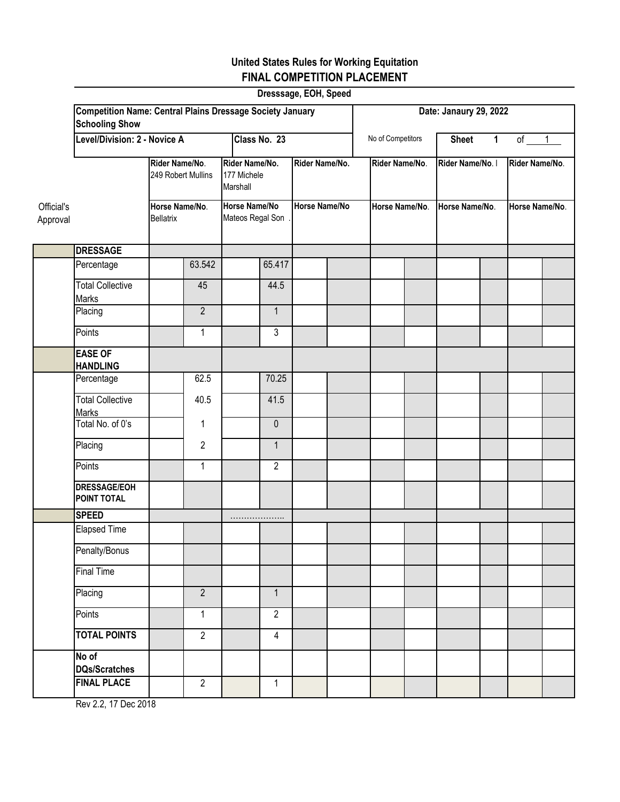|                        |                                                                                           |                                    |                                      |  | Dresssage, EOH, Speed                                                          |              |                                        |  |                |                  |                |                |                |
|------------------------|-------------------------------------------------------------------------------------------|------------------------------------|--------------------------------------|--|--------------------------------------------------------------------------------|--------------|----------------------------------------|--|----------------|------------------|----------------|----------------|----------------|
|                        | <b>Competition Name: Central Plains Dressage Society January</b><br><b>Schooling Show</b> |                                    | Date: Janaury 29, 2022               |  |                                                                                |              |                                        |  |                |                  |                |                |                |
|                        | Level/Division: 2 - Novice A                                                              |                                    |                                      |  |                                                                                | Class No. 23 |                                        |  |                | <b>Sheet</b>     | $\mathbf 1$    | $of$ $1$       |                |
|                        |                                                                                           |                                    | Rider Name/No.<br>249 Robert Mullins |  | Rider Name/No.<br>177 Michele<br>Marshall<br>Horse Name/No<br>Mateos Regal Son |              | Rider Name/No.<br><b>Horse Name/No</b> |  | Rider Name/No. | Rider Name/No. I |                | Rider Name/No. |                |
| Official's<br>Approval |                                                                                           | Horse Name/No.<br><b>Bellatrix</b> |                                      |  |                                                                                |              |                                        |  | Horse Name/No. |                  | Horse Name/No. |                | Horse Name/No. |
|                        | <b>DRESSAGE</b>                                                                           |                                    |                                      |  |                                                                                |              |                                        |  |                |                  |                |                |                |
|                        | Percentage                                                                                |                                    | 63.542                               |  | 65.417                                                                         |              |                                        |  |                |                  |                |                |                |
|                        | <b>Total Collective</b><br><b>Marks</b>                                                   |                                    | 45                                   |  | 44.5                                                                           |              |                                        |  |                |                  |                |                |                |
|                        | Placing                                                                                   |                                    | $\overline{2}$                       |  | $\mathbf{1}$                                                                   |              |                                        |  |                |                  |                |                |                |
|                        | Points                                                                                    |                                    | $\mathbf{1}$                         |  | $\mathfrak{Z}$                                                                 |              |                                        |  |                |                  |                |                |                |
|                        | <b>EASE OF</b><br><b>HANDLING</b>                                                         |                                    |                                      |  |                                                                                |              |                                        |  |                |                  |                |                |                |
|                        | Percentage                                                                                |                                    | 62.5                                 |  | 70.25                                                                          |              |                                        |  |                |                  |                |                |                |
|                        | <b>Total Collective</b><br><b>Marks</b>                                                   |                                    | 40.5                                 |  | 41.5                                                                           |              |                                        |  |                |                  |                |                |                |
|                        | Total No. of 0's                                                                          |                                    | $\mathbf 1$                          |  | $\mathbf 0$                                                                    |              |                                        |  |                |                  |                |                |                |
|                        | Placing                                                                                   |                                    | $\overline{2}$                       |  | $\mathbf{1}$                                                                   |              |                                        |  |                |                  |                |                |                |
|                        | Points                                                                                    |                                    | $\mathbf{1}$                         |  | $\overline{2}$                                                                 |              |                                        |  |                |                  |                |                |                |
|                        | <b>DRESSAGE/EOH</b><br>POINT TOTAL                                                        |                                    |                                      |  |                                                                                |              |                                        |  |                |                  |                |                |                |
|                        | <b>SPEED</b>                                                                              |                                    |                                      |  | .                                                                              |              |                                        |  |                |                  |                |                |                |
|                        | <b>Elapsed Time</b>                                                                       |                                    |                                      |  |                                                                                |              |                                        |  |                |                  |                |                |                |
|                        | Penalty/Bonus                                                                             |                                    |                                      |  |                                                                                |              |                                        |  |                |                  |                |                |                |
|                        | Final Time                                                                                |                                    |                                      |  |                                                                                |              |                                        |  |                |                  |                |                |                |
|                        | Placing                                                                                   |                                    | $\overline{2}$                       |  | $\mathbf{1}$                                                                   |              |                                        |  |                |                  |                |                |                |
|                        | Points                                                                                    |                                    | $\mathbf{1}$                         |  | $\overline{2}$                                                                 |              |                                        |  |                |                  |                |                |                |
|                        | <b>TOTAL POINTS</b>                                                                       |                                    | $\overline{2}$                       |  | 4                                                                              |              |                                        |  |                |                  |                |                |                |
|                        | No of<br><b>DQs/Scratches</b>                                                             |                                    |                                      |  |                                                                                |              |                                        |  |                |                  |                |                |                |
|                        | <b>FINAL PLACE</b>                                                                        |                                    | $\overline{2}$                       |  | $\mathbf{1}$                                                                   |              |                                        |  |                |                  |                |                |                |